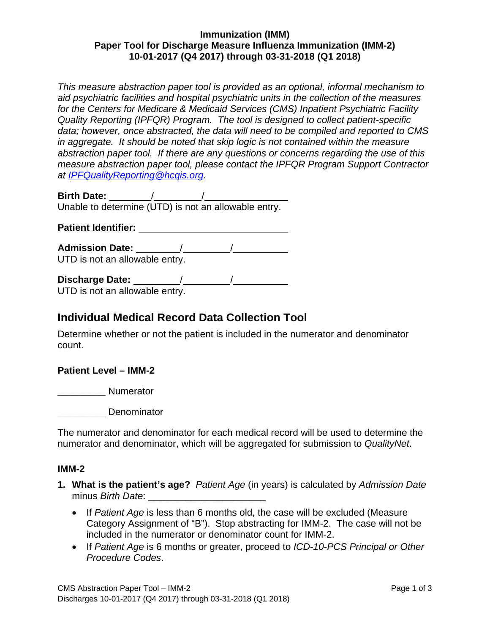## **Immunization (IMM) Paper Tool for Discharge Measure Influenza Immunization (IMM-2) 10-01-2017 (Q4 2017) through 03-31-2018 (Q1 2018)**

*This measure abstraction paper tool is provided as an optional, informal mechanism to aid psychiatric facilities and hospital psychiatric units in the collection of the measures for the Centers for Medicare & Medicaid Services (CMS) Inpatient Psychiatric Facility Quality Reporting (IPFQR) Program. The tool is designed to collect patient-specific data; however, once abstracted, the data will need to be compiled and reported to CMS in aggregate. It should be noted that skip logic is not contained within the measure abstraction paper tool. If there are any questions or concerns regarding the use of this measure abstraction paper tool, please contact the IPFQR Program Support Contractor at [IPFQualityReporting@hcqis.org.](mailto:IPFQualityReporting@hcqis.org)*

**Birth Date:** / /

Unable to determine (UTD) is not an allowable entry.

**Patient Identifier:**

**Admission Date:** / / UTD is not an allowable entry.

| <b>Discharge Date:</b>         |  |
|--------------------------------|--|
| UTD is not an allowable entry. |  |

# **Individual Medical Record Data Collection Tool**

Determine whether or not the patient is included in the numerator and denominator count.

# **Patient Level – IMM-2**

**\_\_\_\_\_\_\_\_\_**  Numerator

**\_\_\_\_\_\_\_\_\_**  Denominator

The numerator and denominator for each medical record will be used to determine the numerator and denominator, which will be aggregated for submission to *QualityNet*.

#### **IMM-2**

- **1. What is the patient's age?** *Patient Age* (in years) is calculated by *Admission Date* minus *Birth Date*:
	- If *Patient Age* is less than 6 months old, the case will be excluded (Measure Category Assignment of "B"). Stop abstracting for IMM-2. The case will not be included in the numerator or denominator count for IMM-2.
	- If *Patient Age* is 6 months or greater, proceed to *ICD-10-PCS Principal or Other Procedure Codes*.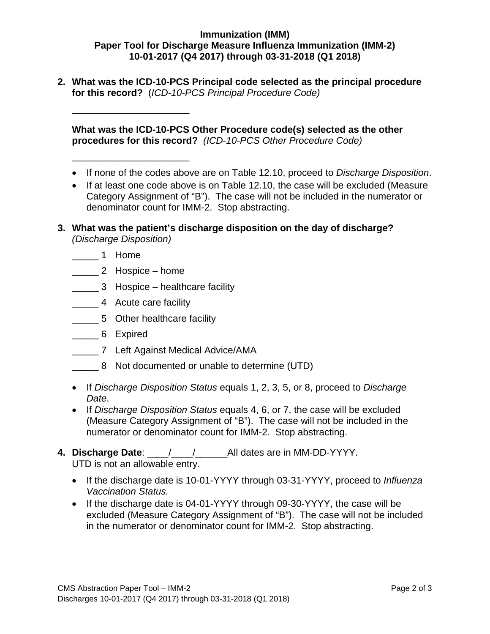## **Immunization (IMM) Paper Tool for Discharge Measure Influenza Immunization (IMM-2) 10-01-2017 (Q4 2017) through 03-31-2018 (Q1 2018)**

**2. What was the ICD-10-PCS Principal code selected as the principal procedure for this record?** (*ICD-10-PCS Principal Procedure Code)*

**What was the ICD-10-PCS Other Procedure code(s) selected as the other procedures for this record?** *(ICD-10-PCS Other Procedure Code)*

- If none of the codes above are on Table 12.10, proceed to *Discharge Disposition*.
- If at least one code above is on Table 12.10, the case will be excluded (Measure Category Assignment of "B"). The case will not be included in the numerator or denominator count for IMM-2. Stop abstracting.
- **3. What was the patient's discharge disposition on the day of discharge?** *(Discharge Disposition)*
	- \_\_\_\_\_ 1 Home
	- \_\_\_\_\_ 2 Hospice home

\_\_\_\_\_\_\_\_\_\_\_\_\_\_\_\_\_\_\_\_\_\_

\_\_\_\_\_\_\_\_\_\_\_\_\_\_\_\_\_\_\_\_\_\_

- \_\_\_\_\_ 3 Hospice healthcare facility
- \_\_\_\_\_ 4 Acute care facility
- \_\_\_\_\_ 5 Other healthcare facility
- \_\_\_\_\_ 6 Expired
- \_\_\_\_\_ 7 Left Against Medical Advice/AMA
- \_\_\_\_\_ 8 Not documented or unable to determine (UTD)
- If *Discharge Disposition Status* equals 1, 2, 3, 5, or 8, proceed to *Discharge Date*.
- If *Discharge Disposition Status* equals 4, 6, or 7, the case will be excluded (Measure Category Assignment of "B"). The case will not be included in the numerator or denominator count for IMM-2. Stop abstracting.
- **4. Discharge Date**: \_\_\_\_/\_\_\_\_/\_\_\_\_\_\_All dates are in MM-DD-YYYY. UTD is not an allowable entry.
	- If the discharge date is 10-01-YYYY through 03-31-YYYY, proceed to *Influenza Vaccination Status.*
	- If the discharge date is 04-01-YYYY through 09-30-YYYY, the case will be excluded (Measure Category Assignment of "B"). The case will not be included in the numerator or denominator count for IMM-2. Stop abstracting.